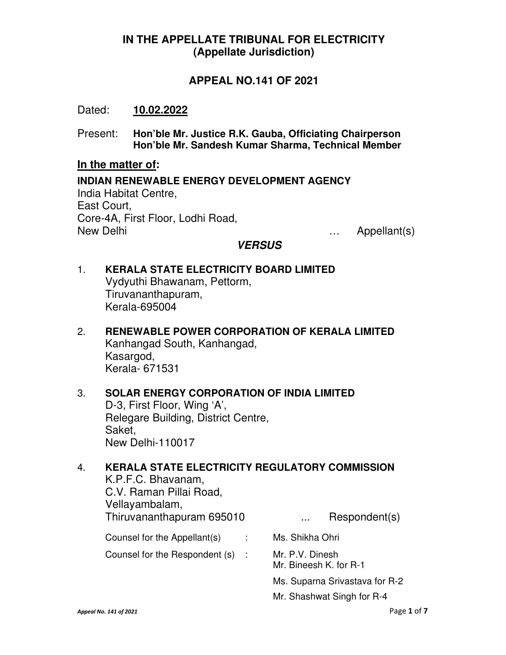# **IN THE APPELLATE TRIBUNAL FOR ELECTRICITY (Appellate Jurisdiction)**

# **APPEAL NO.141 OF 2021**

## Dated: **10.02.2022**

Present: **Hon'ble Mr. Justice R.K. Gauba, Officiating Chairperson Hon'ble Mr. Sandesh Kumar Sharma, Technical Member** 

#### **In the matter of:**

**INDIAN RENEWABLE ENERGY DEVELOPMENT AGENCY**  India Habitat Centre, East Court, Core-4A, First Floor, Lodhi Road, New Delhi … Appellant(s)

## **VERSUS**

## 1. **KERALA STATE ELECTRICITY BOARD LIMITED**  Vydyuthi Bhawanam, Pettorm, Tiruvananthapuram, Kerala-695004

2. **RENEWABLE POWER CORPORATION OF KERALA LIMITED**  Kanhangad South, Kanhangad, Kasargod, Kerala- 671531

## 3. **SOLAR ENERGY CORPORATION OF INDIA LIMITED**  D-3, First Floor, Wing 'A', Relegare Building, District Centre, Saket, New Delhi-110017

# 4. **KERALA STATE ELECTRICITY REGULATORY COMMISSION**  K.P.F.C. Bhavanam, C.V. Raman Pillai Road, Vellayambalam, Thiruvananthapuram 695010 ... Respondent(s) Counsel for the Appellant(s) : Ms. Shikha Ohri Counsel for the Respondent (s) : Mr. P.V. Dinesh Mr. Bineesh K. for R-1 Ms. Suparna Srivastava for R-2 Mr. Shashwat Singh for R-4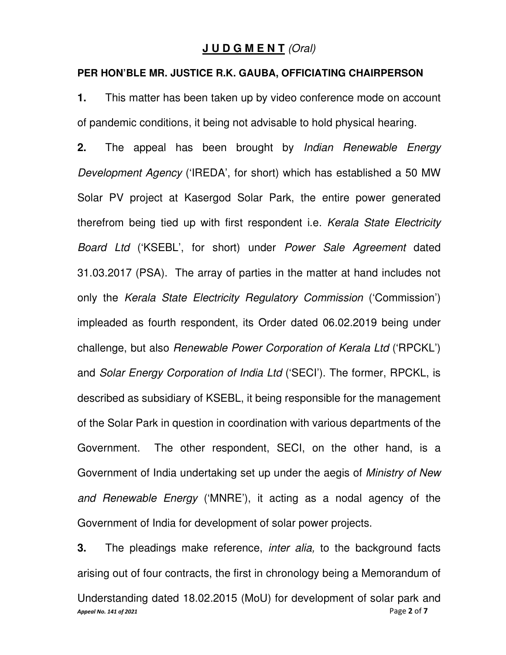## **J U D G M E N T** *(Oral)*

#### **PER HON'BLE MR. JUSTICE R.K. GAUBA, OFFICIATING CHAIRPERSON**

**1.** This matter has been taken up by video conference mode on account of pandemic conditions, it being not advisable to hold physical hearing.

**2.** The appeal has been brought by *Indian Renewable Energy Development Agency* ('IREDA', for short) which has established a 50 MW Solar PV project at Kasergod Solar Park, the entire power generated therefrom being tied up with first respondent i.e. *Kerala State Electricity Board Ltd* ('KSEBL', for short) under *Power Sale Agreement* dated 31.03.2017 (PSA). The array of parties in the matter at hand includes not only the *Kerala State Electricity Regulatory Commission* ('Commission') impleaded as fourth respondent, its Order dated 06.02.2019 being under challenge, but also *Renewable Power Corporation of Kerala Ltd* ('RPCKL') and *Solar Energy Corporation of India Ltd* ('SECI'). The former, RPCKL, is described as subsidiary of KSEBL, it being responsible for the management of the Solar Park in question in coordination with various departments of the Government. The other respondent, SECI, on the other hand, is a Government of India undertaking set up under the aegis of *Ministry of New and Renewable Energy* ('MNRE'), it acting as a nodal agency of the Government of India for development of solar power projects.

*Appeal No. 141 of 2021* Page **2** of **7 3.** The pleadings make reference, *inter alia,* to the background facts arising out of four contracts, the first in chronology being a Memorandum of Understanding dated 18.02.2015 (MoU) for development of solar park and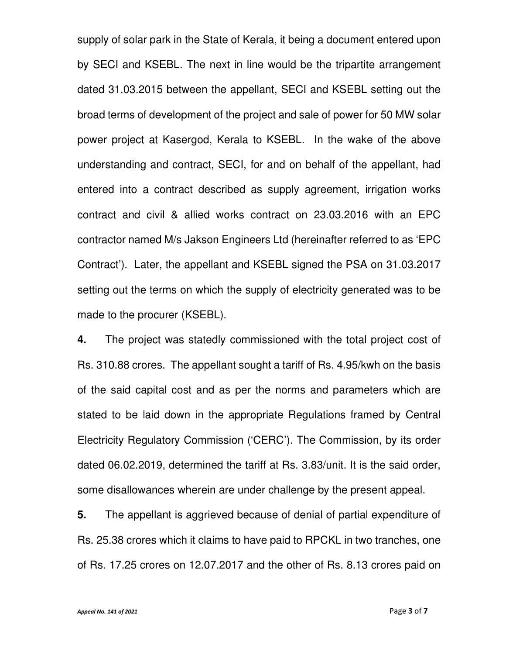supply of solar park in the State of Kerala, it being a document entered upon by SECI and KSEBL. The next in line would be the tripartite arrangement dated 31.03.2015 between the appellant, SECI and KSEBL setting out the broad terms of development of the project and sale of power for 50 MW solar power project at Kasergod, Kerala to KSEBL. In the wake of the above understanding and contract, SECI, for and on behalf of the appellant, had entered into a contract described as supply agreement, irrigation works contract and civil & allied works contract on 23.03.2016 with an EPC contractor named M/s Jakson Engineers Ltd (hereinafter referred to as 'EPC Contract'). Later, the appellant and KSEBL signed the PSA on 31.03.2017 setting out the terms on which the supply of electricity generated was to be made to the procurer (KSEBL).

**4.** The project was statedly commissioned with the total project cost of Rs. 310.88 crores. The appellant sought a tariff of Rs. 4.95/kwh on the basis of the said capital cost and as per the norms and parameters which are stated to be laid down in the appropriate Regulations framed by Central Electricity Regulatory Commission ('CERC'). The Commission, by its order dated 06.02.2019, determined the tariff at Rs. 3.83/unit. It is the said order, some disallowances wherein are under challenge by the present appeal.

**5.** The appellant is aggrieved because of denial of partial expenditure of Rs. 25.38 crores which it claims to have paid to RPCKL in two tranches, one of Rs. 17.25 crores on 12.07.2017 and the other of Rs. 8.13 crores paid on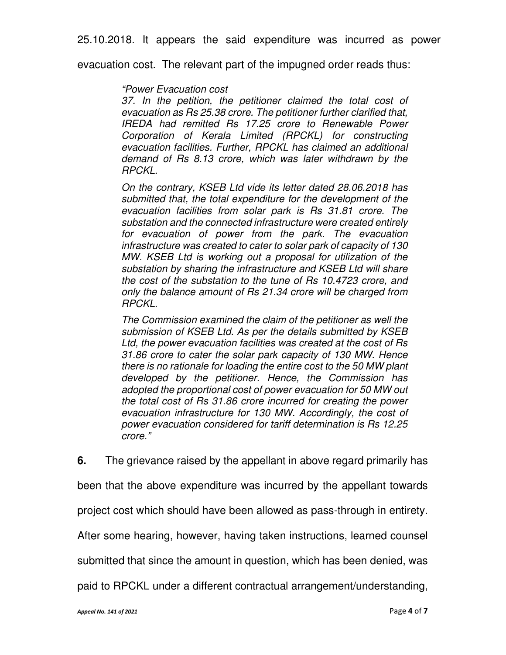25.10.2018. It appears the said expenditure was incurred as power

evacuation cost. The relevant part of the impugned order reads thus:

#### *"Power Evacuation cost*

*37. In the petition, the petitioner claimed the total cost of evacuation as Rs 25.38 crore. The petitioner further clarified that, IREDA had remitted Rs 17.25 crore to Renewable Power Corporation of Kerala Limited (RPCKL) for constructing evacuation facilities. Further, RPCKL has claimed an additional demand of Rs 8.13 crore, which was later withdrawn by the RPCKL.* 

*On the contrary, KSEB Ltd vide its letter dated 28.06.2018 has submitted that, the total expenditure for the development of the evacuation facilities from solar park is Rs 31.81 crore. The substation and the connected infrastructure were created entirely for evacuation of power from the park. The evacuation infrastructure was created to cater to solar park of capacity of 130 MW. KSEB Ltd is working out a proposal for utilization of the substation by sharing the infrastructure and KSEB Ltd will share the cost of the substation to the tune of Rs 10.4723 crore, and only the balance amount of Rs 21.34 crore will be charged from RPCKL.* 

*The Commission examined the claim of the petitioner as well the submission of KSEB Ltd. As per the details submitted by KSEB Ltd, the power evacuation facilities was created at the cost of Rs 31.86 crore to cater the solar park capacity of 130 MW. Hence there is no rationale for loading the entire cost to the 50 MW plant developed by the petitioner. Hence, the Commission has adopted the proportional cost of power evacuation for 50 MW out the total cost of Rs 31.86 crore incurred for creating the power evacuation infrastructure for 130 MW. Accordingly, the cost of power evacuation considered for tariff determination is Rs 12.25 crore."*

**6.** The grievance raised by the appellant in above regard primarily has

been that the above expenditure was incurred by the appellant towards

project cost which should have been allowed as pass-through in entirety.

After some hearing, however, having taken instructions, learned counsel

submitted that since the amount in question, which has been denied, was

paid to RPCKL under a different contractual arrangement/understanding,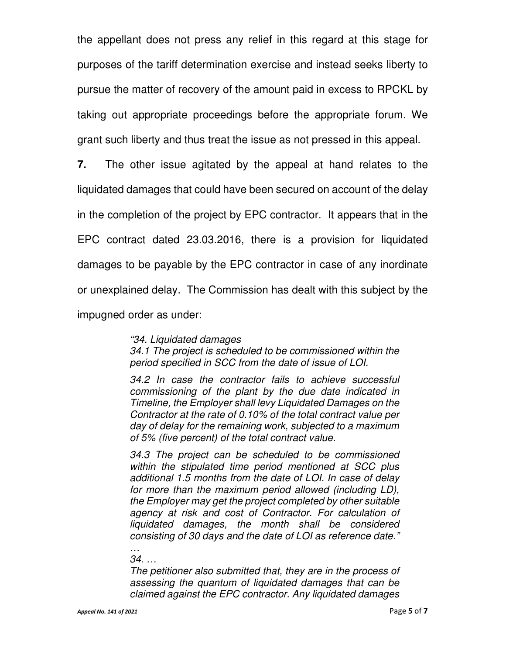the appellant does not press any relief in this regard at this stage for purposes of the tariff determination exercise and instead seeks liberty to pursue the matter of recovery of the amount paid in excess to RPCKL by taking out appropriate proceedings before the appropriate forum. We grant such liberty and thus treat the issue as not pressed in this appeal.

**7.** The other issue agitated by the appeal at hand relates to the liquidated damages that could have been secured on account of the delay in the completion of the project by EPC contractor. It appears that in the EPC contract dated 23.03.2016, there is a provision for liquidated damages to be payable by the EPC contractor in case of any inordinate or unexplained delay. The Commission has dealt with this subject by the impugned order as under:

*"34. Liquidated damages* 

*34.1 The project is scheduled to be commissioned within the period specified in SCC from the date of issue of LOI.* 

*34.2 In case the contractor fails to achieve successful commissioning of the plant by the due date indicated in Timeline, the Employer shall levy Liquidated Damages on the Contractor at the rate of 0.10% of the total contract value per day of delay for the remaining work, subjected to a maximum of 5% (five percent) of the total contract value.* 

*34.3 The project can be scheduled to be commissioned within the stipulated time period mentioned at SCC plus additional 1.5 months from the date of LOI. In case of delay for more than the maximum period allowed (including LD), the Employer may get the project completed by other suitable agency at risk and cost of Contractor. For calculation of liquidated damages, the month shall be considered consisting of 30 days and the date of LOI as reference date."* 

*… 34. …* 

*The petitioner also submitted that, they are in the process of assessing the quantum of liquidated damages that can be claimed against the EPC contractor. Any liquidated damages*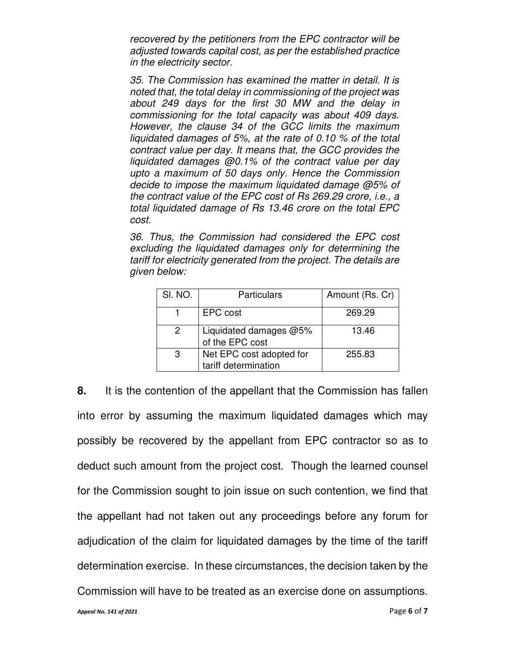*recovered by the petitioners from the EPC contractor will be adjusted towards capital cost, as per the established practice in the electricity sector.* 

*35. The Commission has examined the matter in detail. It is noted that, the total delay in commissioning of the project was about 249 days for the first 30 MW and the delay in commissioning for the total capacity was about 409 days. However, the clause 34 of the GCC limits the maximum liquidated damages of 5%, at the rate of 0.10 % of the total contract value per day. It means that, the GCC provides the liquidated damages @0.1% of the contract value per day upto a maximum of 50 days only. Hence the Commission decide to impose the maximum liquidated damage @5% of the contract value of the EPC cost of Rs 269.29 crore, i.e., a total liquidated damage of Rs 13.46 crore on the total EPC cost.* 

*36. Thus, the Commission had considered the EPC cost excluding the liquidated damages only for determining the tariff for electricity generated from the project. The details are given below:*

| SI. NO. | Particulars                                      | Amount (Rs. Cr) |
|---------|--------------------------------------------------|-----------------|
|         | EPC cost                                         | 269.29          |
|         | Liquidated damages @5%<br>of the EPC cost        | 13.46           |
| 3       | Net EPC cost adopted for<br>tariff determination | 255.83          |

**8.** It is the contention of the appellant that the Commission has fallen into error by assuming the maximum liquidated damages which may possibly be recovered by the appellant from EPC contractor so as to deduct such amount from the project cost. Though the learned counsel for the Commission sought to join issue on such contention, we find that the appellant had not taken out any proceedings before any forum for adjudication of the claim for liquidated damages by the time of the tariff determination exercise. In these circumstances, the decision taken by the Commission will have to be treated as an exercise done on assumptions.